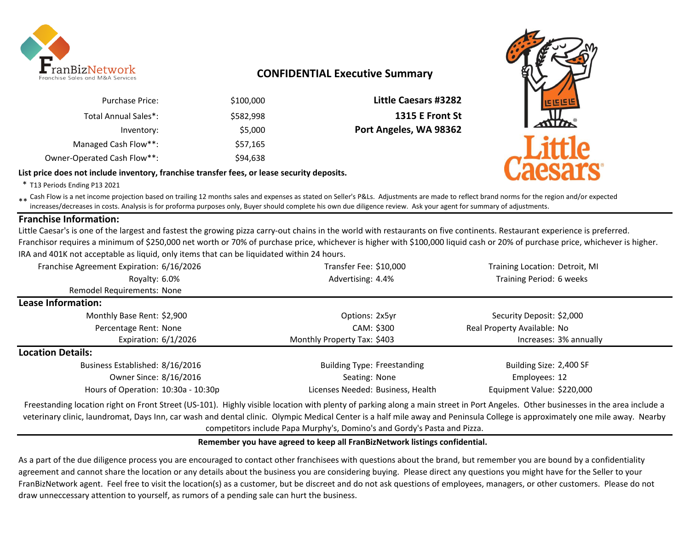

# **CONFIDENTIAL Executive Summary**

| <b>Little Caesars #3282</b> | \$100,000 | <b>Purchase Price:</b>      |
|-----------------------------|-----------|-----------------------------|
| <b>1315 E Front St</b>      | \$582,998 | Total Annual Sales*:        |
| Port Angeles, WA 98362      | \$5,000   | Inventory:                  |
|                             | \$57,165  | Managed Cash Flow**:        |
|                             | \$94,638  | Owner-Operated Cash Flow**: |

**List price does not include inventory, franchise transfer fees, or lease security deposits.**



\* T13 Periods Ending P13 2021

\*\* Cash Flow is a net income projection based on trailing 12 months sales and expenses as stated on Seller's P&Ls. Adjustments are made to reflect brand norms for the region and/or expected in costs. Analysis is for profor increases/decreases in costs. Analysis is for proforma purposes only, Buyer should complete his own due diligence review. Ask your agent for summary of adjustments.

# **Franchise Information:**

Little Caesar's is one of the largest and fastest the growing pizza carry-out chains in the world with restaurants on five continents. Restaurant experience is preferred. Franchisor requires a minimum of \$250,000 net worth or 70% of purchase price, whichever is higher with \$100,000 liquid cash or 20% of purchase price, whichever is higher. IRA and 401K not acceptable as liquid, only items that can be liquidated within 24 hours.

| Franchise Agreement Expiration: 6/16/2026 | Transfer Fee: \$10,000                                                                                          | Training Location: Detroit, MI |
|-------------------------------------------|-----------------------------------------------------------------------------------------------------------------|--------------------------------|
| Royalty: 6.0%                             | Advertising: 4.4%                                                                                               | Training Period: 6 weeks       |
| Remodel Requirements: None                |                                                                                                                 |                                |
| Lease Information:                        |                                                                                                                 |                                |
| Monthly Base Rent: \$2,900                | Options: 2x5yr                                                                                                  | Security Deposit: \$2,000      |
| Percentage Rent: None                     | CAM: \$300                                                                                                      | Real Property Available: No    |
| Expiration: $6/1/2026$                    | Monthly Property Tax: \$403                                                                                     | Increases: 3% annually         |
| <b>Location Details:</b>                  |                                                                                                                 |                                |
| Business Established: 8/16/2016           | <b>Building Type: Freestanding</b>                                                                              | Building Size: 2,400 SF        |
| Owner Since: 8/16/2016                    | Seating: None                                                                                                   | Employees: 12                  |
| Hours of Operation: 10:30a - 10:30p       | Licenses Needed: Business, Health                                                                               | Equipment Value: \$220,000     |
|                                           | . I se a la casa sua sua contra del componente del contra del contra del contra del contra del contra del contr |                                |

Freestanding location right on Front Street (US-101). Highly visible location with plenty of parking along a main street in Port Angeles. Other businesses in the area include a veterinary clinic, laundromat, Days Inn, car wash and dental clinic. Olympic Medical Center is a half mile away and Peninsula College is approximately one mile away. Nearby competitors include Papa Murphy's, Domino's and Gordy's Pasta and Pizza.

## **Remember you have agreed to keep all FranBizNetwork listings confidential.**

As a part of the due diligence process you are encouraged to contact other franchisees with questions about the brand, but remember you are bound by a confidentiality agreement and cannot share the location or any details about the business you are considering buying. Please direct any questions you might have for the Seller to your FranBizNetwork agent. Feel free to visit the location(s) as a customer, but be discreet and do not ask questions of employees, managers, or other customers. Please do not draw unneccessary attention to yourself, as rumors of a pending sale can hurt the business.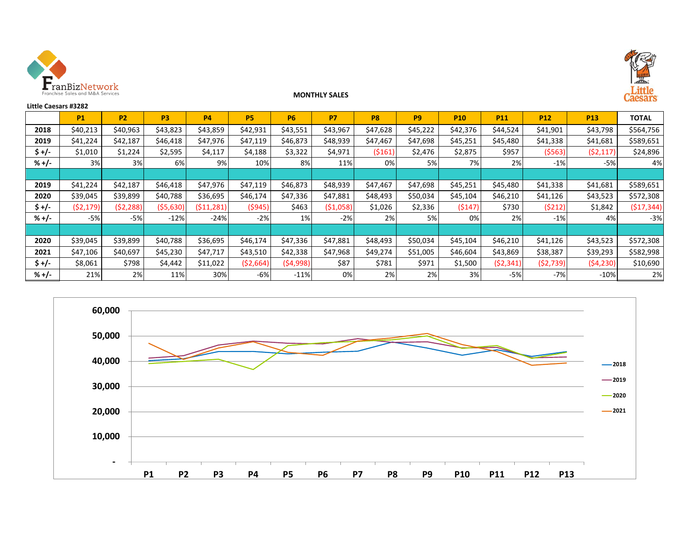



#### **MONTHLY SALES**

| <b>Little Caesars #3282</b> |           |           |                |            |           |           |           |                |                |            |            |            |            | <b><i><u><u>APPARAN</u></u></i></b> |
|-----------------------------|-----------|-----------|----------------|------------|-----------|-----------|-----------|----------------|----------------|------------|------------|------------|------------|-------------------------------------|
|                             | <b>P1</b> | <b>P2</b> | P <sub>3</sub> | <b>P4</b>  | <b>P5</b> | <b>P6</b> | <b>P7</b> | P <sub>8</sub> | P <sub>9</sub> | <b>P10</b> | <b>P11</b> | <b>P12</b> | <b>P13</b> | <b>TOTAL</b>                        |
| 2018                        | \$40,213  | \$40,963  | \$43,823       | \$43,859   | \$42,931  | \$43,551  | \$43,967  | \$47,628       | \$45,222       | \$42,376   | \$44,524   | \$41,901   | \$43,798   | \$564,756                           |
| 2019                        | \$41,224  | \$42,187  | \$46,418       | \$47,976   | \$47,119  | \$46,873  | \$48,939  | \$47,467       | \$47,698       | \$45,251   | \$45,480   | \$41,338   | \$41,681   | \$589,651                           |
| $$+/-$                      | \$1,010   | \$1,224   | \$2,595        | \$4,117    | \$4,188   | \$3,322   | \$4,971   | (5161)         | \$2,476        | \$2,875    | \$957      | (5563)     | (52, 117)  | \$24,896                            |
| $% +/-$                     | 3%        | 3%        | 6%             | 9%         | 10%       | 8%        | 11%       | 0%             | 5%             | 7%         | 2%         | $-1%$      | $-5%$      | 4%                                  |
|                             |           |           |                |            |           |           |           |                |                |            |            |            |            |                                     |
| 2019                        | \$41,224  | \$42,187  | \$46,418       | \$47,976   | \$47,119  | \$46,873  | \$48,939  | \$47,467       | \$47,698       | \$45,251   | \$45,480   | \$41,338   | \$41,681   | \$589,651                           |
| 2020                        | \$39,045  | \$39,899  | \$40,788       | \$36,695   | \$46,174  | \$47,336  | \$47,881  | \$48,493       | \$50,034       | \$45,104   | \$46,210   | \$41,126   | \$43,523   | \$572,308                           |
| $$+/-$                      | (52, 179) | (52, 288) | (\$5,630)      | (511, 281) | (5945)    | \$463     | (51,058)  | \$1,026        | \$2,336        | (5147)     | \$730      | (5212)     | \$1,842    | (517, 344)                          |
| $% +/-$                     | $-5%$     | $-5%$     | $-12%$         | $-24%$     | $-2%$     | 1%        | $-2%$     | 2%             | 5%             | 0%         | 2%         | $-1%$      | 4%         | $-3%$                               |
|                             |           |           |                |            |           |           |           |                |                |            |            |            |            |                                     |
| 2020                        | \$39,045  | \$39,899  | \$40,788       | \$36,695   | \$46,174  | \$47,336  | \$47,881  | \$48,493       | \$50,034       | \$45,104   | \$46,210   | \$41,126   | \$43,523   | \$572,308                           |
| 2021                        | \$47,106  | \$40,697  | \$45,230       | \$47,717   | \$43,510  | \$42,338  | \$47,968  | \$49,274       | \$51,005       | \$46,604   | \$43,869   | \$38,387   | \$39,293   | \$582,998                           |
| $$+/-$                      | \$8,061   | \$798     | \$4,442        | \$11,022   | (52,664)  | (54,998)  | \$87      | \$781          | \$971          | \$1,500    | (52, 341)  | (52, 739)  | (54, 230)  | \$10,690                            |
| $% +/-$                     | 21%       | 2%        | 11%            | 30%        | $-6%$     | $-11%$    | 0%        | 2%             | 2%             | 3%         | $-5%$      | $-7%$      | $-10%$     | 2%                                  |